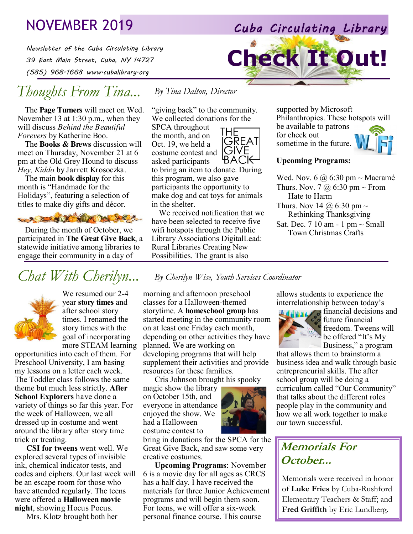## NOVEMBER 2019 *Cuba Circulating Library*

*Newsletter of the Cuba Circulating Library 39 East Main Street, Cuba, NY 14727 (585) 968-1668 www.cubalibrary.org* 

## *Thoughts From Tina...*

The **Page Turners** will meet on Wed. November 13 at 1:30 p.m., when they will discuss *Behind the Beautiful Forevers* by Katherine Boo.

The **Books & Brews** discussion will meet on Thursday, November 21 at 6 pm at the Old Grey Hound to discuss *Hey, Kiddo* by Jarrett Krosoczka.

The main **book display** for this month is "Handmade for the Holidays", featuring a selection of titles to make diy gifts and décor.

SALE OF NEW YORK

During the month of October, we participated in **The Great Give Back**, a statewide initiative among libraries to engage their community in a day of

## *Chat With Cherilyn... By Cherilyn Wise, Youth Services Coordinator*



We resumed our 2-4 year **story times** and after school story times. I renamed the story times with the goal of incorporating more STEAM learning

opportunities into each of them. For Preschool University, I am basing my lessons on a letter each week. The Toddler class follows the same theme but much less strictly. **After School Explorers** have done a variety of things so far this year. For the week of Halloween, we all dressed up in costume and went around the library after story time trick or treating.

**CSI for tweens** went well. We explored several types of invisible ink, chemical indicator tests, and codes and ciphers. Our last week will be an escape room for those who have attended regularly. The teens were offered a **Halloween movie night**, showing Hocus Pocus.

Mrs. Klotz brought both her

"giving back" to the community. We collected donations for the

THE

**İÇREAT** GIVE

*By Tina Dalton, Director*

SPCA throughout the month, and on Oct. 19, we held a costume contest and asked participants

BACK to bring an item to donate. During this program, we also gave participants the opportunity to make dog and cat toys for animals in the shelter.

We received notification that we have been selected to receive five wifi hotspots through the Public Library Associations DigitalLead: Rural Libraries Creating New Possibilities. The grant is also

morning and afternoon preschool classes for a Halloween-themed storytime. A **homeschool group** has started meeting in the community room on at least one Friday each month, depending on other activities they have planned. We are working on developing programs that will help supplement their activities and provide resources for these families.

Cris Johnson brought his spooky

magic show the library on October 15th, and everyone in attendance enjoyed the show. We had a Halloween costume contest to

bring in donations for the SPCA for the Great Give Back, and saw some very creative costumes.

**Upcoming Programs**: November 6 is a movie day for all ages as CRCS has a half day. I have received the materials for three Junior Achievement programs and will begin them soon. For teens, we will offer a six-week personal finance course. This course



### **Upcoming Programs:**

**Check It Out!**

Wed. Nov.  $6 @ 6:30 \text{ pm} \sim \text{Macramé}$ Thurs. Nov. 7  $\omega$  6:30 pm ~ From Hate to Harm Thurs. Nov 14  $\omega$  6:30 pm  $\sim$ Rethinking Thanksgiving Sat. Dec.  $710$  am - 1 pm  $\sim$  Small Town Christmas Crafts

allows students to experience the interrelationship between today's



*financial* decisions and future financial freedom. Tweens will be offered "It's My Business," a program

that allows them to brainstorm a business idea and walk through basic entrepreneurial skills. The after school group will be doing a curriculum called "Our Community" that talks about the different roles people play in the community and how we all work together to make our town successful.

## **Memorials For October...**

Memorials were received in honor of **Luke Fries** by Cuba-Rushford Elementary Teachers & Staff; and **Fred Griffith** by Eric Lundberg.